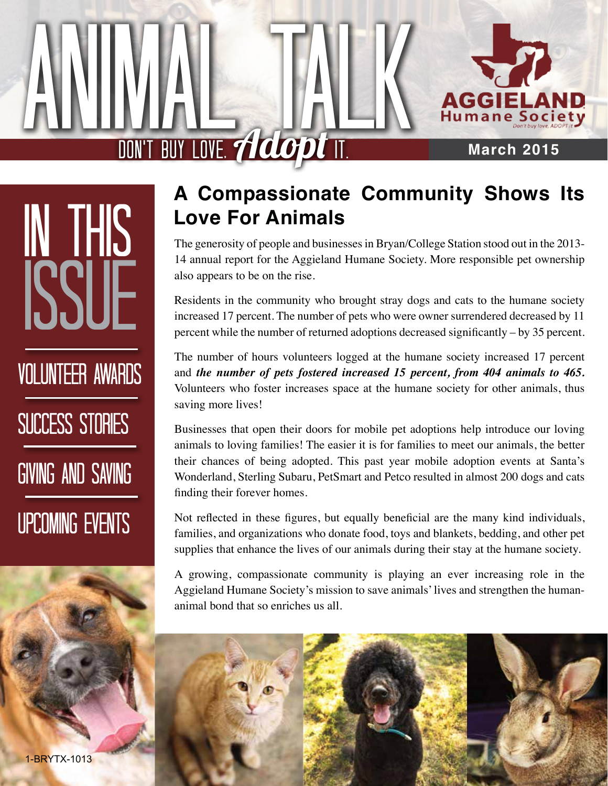

#### **March 2015**

DON'T BUY LOVE. Adopt IT.

Animal Talk

In This Issue volunteer Awards SUCCESS STORIES Giving and Saving Upcoming Events

1-BRYTX-1013

#### **A Compassionate Community Shows Its Love For Animals**

The generosity of people and businesses in Bryan/College Station stood out in the 2013- 14 annual report for the Aggieland Humane Society. More responsible pet ownership also appears to be on the rise.

Residents in the community who brought stray dogs and cats to the humane society increased 17 percent. The number of pets who were owner surrendered decreased by 11 percent while the number of returned adoptions decreased significantly – by 35 percent.

The number of hours volunteers logged at the humane society increased 17 percent and *the number of pets fostered increased 15 percent, from 404 animals to 465.* Volunteers who foster increases space at the humane society for other animals, thus saving more lives!

Businesses that open their doors for mobile pet adoptions help introduce our loving animals to loving families! The easier it is for families to meet our animals, the better their chances of being adopted. This past year mobile adoption events at Santa's Wonderland, Sterling Subaru, PetSmart and Petco resulted in almost 200 dogs and cats finding their forever homes.

Not reflected in these figures, but equally beneficial are the many kind individuals, families, and organizations who donate food, toys and blankets, bedding, and other pet supplies that enhance the lives of our animals during their stay at the humane society.

A growing, compassionate community is playing an ever increasing role in the Aggieland Humane Society's mission to save animals' lives and strengthen the humananimal bond that so enriches us all.

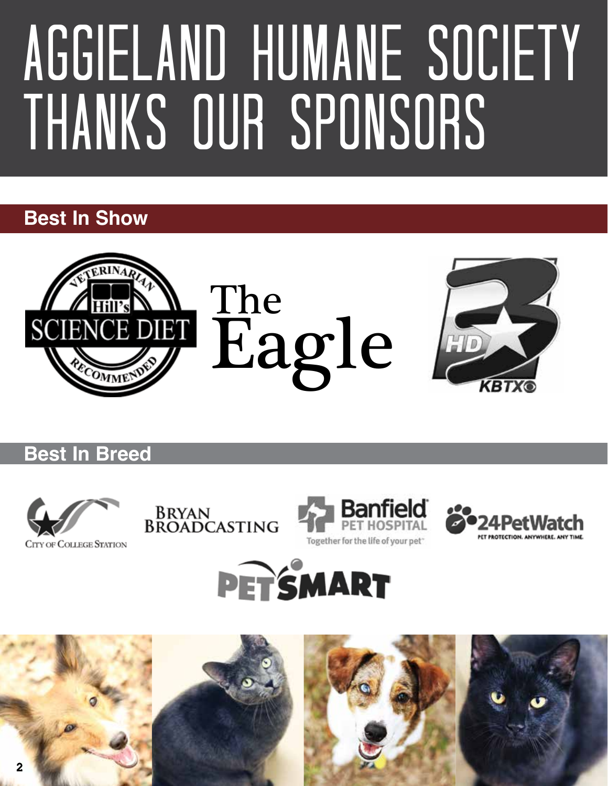## Aggieland Humane Society THANKS OUR SPONSORS

#### **Best In Show**



**Best In Breed**











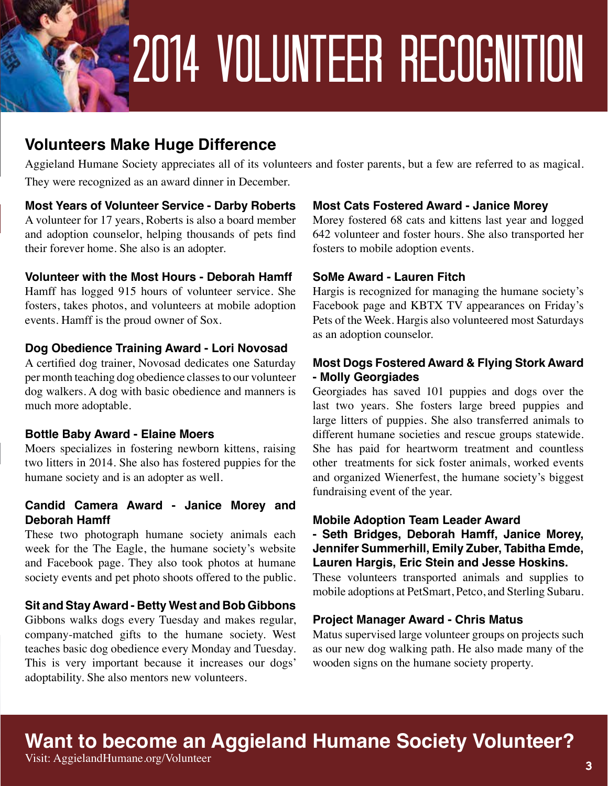## 2014 Volunteer Recognition

#### **Volunteers Make Huge Difference**

Aggieland Humane Society appreciates all of its volunteers and foster parents, but a few are referred to as magical. They were recognized as an award dinner in December.

#### **Most Years of Volunteer Service - Darby Roberts**

A volunteer for 17 years, Roberts is also a board member and adoption counselor, helping thousands of pets find their forever home. She also is an adopter.

#### **Volunteer with the Most Hours - Deborah Hamff**

Hamff has logged 915 hours of volunteer service. She fosters, takes photos, and volunteers at mobile adoption events. Hamff is the proud owner of Sox.

#### **Dog Obedience Training Award - Lori Novosad**

A certified dog trainer, Novosad dedicates one Saturday per month teaching dog obedience classes to our volunteer dog walkers. A dog with basic obedience and manners is much more adoptable.

#### **Bottle Baby Award - Elaine Moers**

Moers specializes in fostering newborn kittens, raising two litters in 2014. She also has fostered puppies for the humane society and is an adopter as well.

#### **Candid Camera Award - Janice Morey and Deborah Hamff**

These two photograph humane society animals each week for the The Eagle, the humane society's website and Facebook page. They also took photos at humane society events and pet photo shoots offered to the public.

#### **Sit and Stay Award - Betty West and Bob Gibbons**

Gibbons walks dogs every Tuesday and makes regular, company-matched gifts to the humane society. West teaches basic dog obedience every Monday and Tuesday. This is very important because it increases our dogs' adoptability. She also mentors new volunteers.

#### **Most Cats Fostered Award - Janice Morey**

Morey fostered 68 cats and kittens last year and logged 642 volunteer and foster hours. She also transported her fosters to mobile adoption events.

#### **SoMe Award - Lauren Fitch**

Hargis is recognized for managing the humane society's Facebook page and KBTX TV appearances on Friday's Pets of the Week. Hargis also volunteered most Saturdays as an adoption counselor.

#### **Most Dogs Fostered Award & Flying Stork Award - Molly Georgiades**

Georgiades has saved 101 puppies and dogs over the last two years. She fosters large breed puppies and large litters of puppies. She also transferred animals to different humane societies and rescue groups statewide. She has paid for heartworm treatment and countless other treatments for sick foster animals, worked events and organized Wienerfest, the humane society's biggest fundraising event of the year.

#### **Mobile Adoption Team Leader Award**

**- Seth Bridges, Deborah Hamff, Janice Morey, Jennifer Summerhill, Emily Zuber, Tabitha Emde, Lauren Hargis, Eric Stein and Jesse Hoskins.** 

These volunteers transported animals and supplies to mobile adoptions at PetSmart, Petco, and Sterling Subaru.

#### **Project Manager Award - Chris Matus**

Matus supervised large volunteer groups on projects such as our new dog walking path. He also made many of the wooden signs on the humane society property.

#### **Want to become an Aggieland Humane Society Volunteer?**

Visit: AggielandHumane.org/Volunteer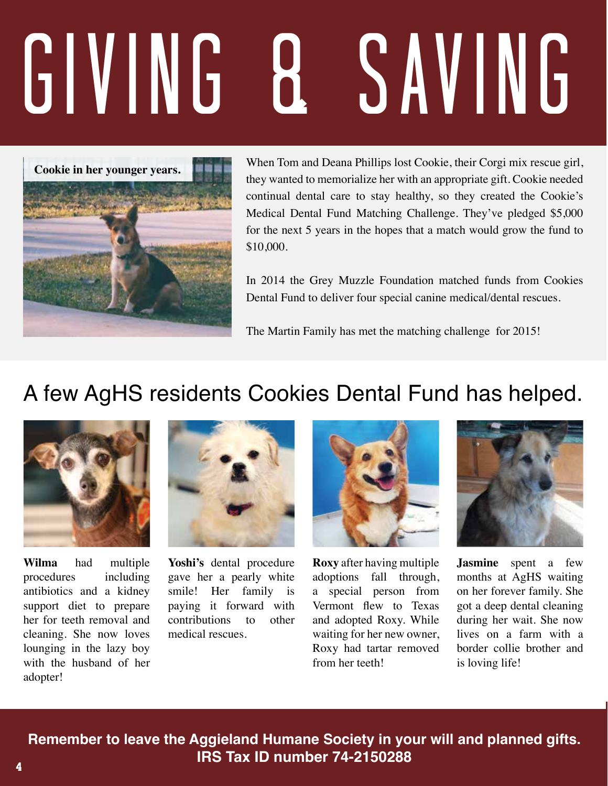# Giving & Saving



When Tom and Deana Phillips lost Cookie, their Corgi mix rescue girl, they wanted to memorialize her with an appropriate gift. Cookie needed continual dental care to stay healthy, so they created the Cookie's Medical Dental Fund Matching Challenge. They've pledged \$5,000 for the next 5 years in the hopes that a match would grow the fund to \$10,000.

In 2014 the Grey Muzzle Foundation matched funds from Cookies Dental Fund to deliver four special canine medical/dental rescues.

The Martin Family has met the matching challenge for 2015!

#### A few AgHS residents Cookies Dental Fund has helped.



**Wilma** had multiple procedures including antibiotics and a kidney support diet to prepare her for teeth removal and cleaning. She now loves lounging in the lazy boy with the husband of her adopter!



**Yoshi's** dental procedure gave her a pearly white smile! Her family is paying it forward with contributions to other medical rescues.



**Roxy** after having multiple adoptions fall through, a special person from Vermont flew to Texas and adopted Roxy. While waiting for her new owner, Roxy had tartar removed from her teeth!



**Jasmine** spent a few months at AgHS waiting on her forever family. She got a deep dental cleaning during her wait. She now lives on a farm with a border collie brother and is loving life!

**Remember to leave the Aggieland Humane Society in your will and planned gifts. IRS Tax ID number 74-2150288**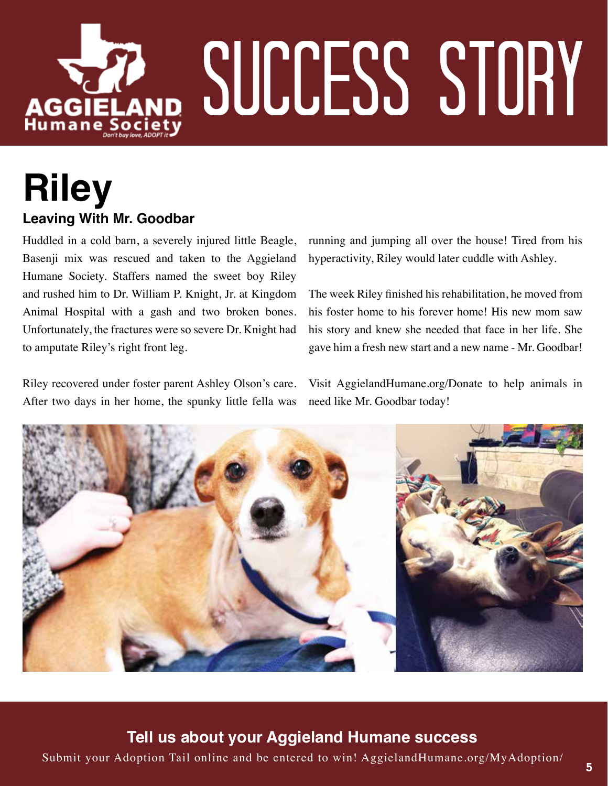

#### **Riley Leaving With Mr. Goodbar**

Huddled in a cold barn, a severely injured little Beagle, Basenji mix was rescued and taken to the Aggieland Humane Society. Staffers named the sweet boy Riley and rushed him to Dr. William P. Knight, Jr. at Kingdom Animal Hospital with a gash and two broken bones. Unfortunately, the fractures were so severe Dr. Knight had to amputate Riley's right front leg.

Riley recovered under foster parent Ashley Olson's care. After two days in her home, the spunky little fella was

running and jumping all over the house! Tired from his hyperactivity, Riley would later cuddle with Ashley.

The week Riley finished his rehabilitation, he moved from his foster home to his forever home! His new mom saw his story and knew she needed that face in her life. She gave him a fresh new start and a new name - Mr. Goodbar!

Visit AggielandHumane.org/Donate to help animals in need like Mr. Goodbar today!



**Tell us about your Aggieland Humane success** 

Submit your Adoption Tail online and be entered to win! AggielandHumane.org/MyAdoption/ <sup>5</sup>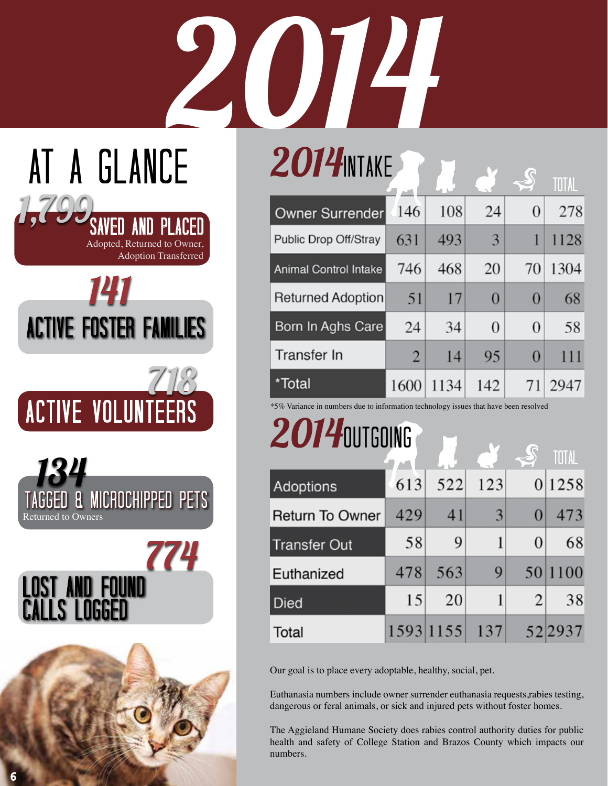# $2014$ N  $2014$ N  $\overline{16}$ AT A GLANCE

| . <i>.</i>                   |                |      |                |                | TOTAL |
|------------------------------|----------------|------|----------------|----------------|-------|
| Owner Surrender              | $\bigcirc$ 146 | 108  | 24             | $\overline{0}$ | 278   |
| Public Drop Off/Stray        | 631            | 493  | 3              | 1              | 1128  |
| <b>Animal Control Intake</b> | 746            | 468  | 20             | 70             | 1304  |
| <b>Returned Adoption</b>     | 51             | 17   | $\overline{0}$ | 0              | 68    |
| Born In Aghs Care            | 24             | 34   | $\theta$       | $\theta$       | 58    |
| Transfer In                  | 2              | 14   | 95             | $\overline{0}$ | 111   |
| *Total                       | 1600           | 1134 | 142            |                | 2947  |

\*5% Variance in numbers due to information technology issues that have been resolved

### 2014 OUTGOING

|                        |     |           |     |          | TOTAL  |
|------------------------|-----|-----------|-----|----------|--------|
| Adoptions              | 613 | 522       | 123 |          | 0 1258 |
| <b>Return To Owner</b> | 429 | 41        | 3   | 0        | 473    |
| <b>Transfer Out</b>    | 58  | 9         | 1   | $\theta$ | 68     |
| Euthanized             | 478 | 563       | 9   | 50       | 1100   |
| <b>Died</b>            | 15  | 20        |     | 2        | 38     |
| Total                  |     | 1593 1155 | 137 |          | 522937 |

Our goal is to place every adoptable, healthy, social, pet.

Euthanasia numbers include owner surrender euthanasia requests,rabies testing, dangerous or feral animals, or sick and injured pets without foster homes.

The Aggieland Humane Society does rabies control authority duties for public health and safety of College Station and Brazos County which impacts our numbers.

| <b>ACTIVE FOSTER FAMILIES</b> |       |
|-------------------------------|-------|
|                               | 71183 |
| <b>ACTIVE VOLUNTEERS</b>      |       |

141

Adopted, Returned to Owner,

SAvED AnD PlAcEd

Adoption Transferred

1,799



Lost and found

calls logged

774

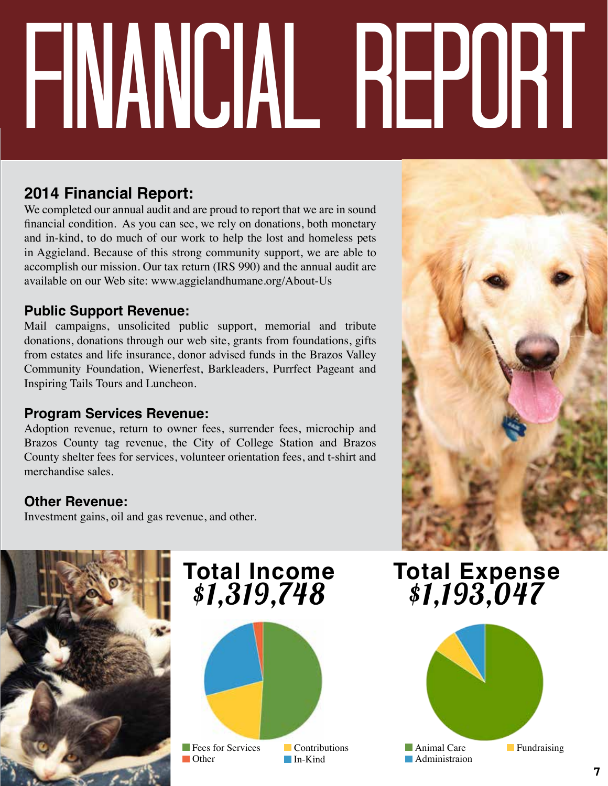# financial report

#### **2014 Financial Report:**

We completed our annual audit and are proud to report that we are in sound financial condition. As you can see, we rely on donations, both monetary and in-kind, to do much of our work to help the lost and homeless pets in Aggieland. Because of this strong community support, we are able to accomplish our mission. Our tax return (IRS 990) and the annual audit are available on our Web site: www.aggielandhumane.org/About-Us

#### **Public Support Revenue:**

Mail campaigns, unsolicited public support, memorial and tribute donations, donations through our web site, grants from foundations, gifts from estates and life insurance, donor advised funds in the Brazos Valley Community Foundation, Wienerfest, Barkleaders, Purrfect Pageant and Inspiring Tails Tours and Luncheon.

#### **Program Services Revenue:**

Adoption revenue, return to owner fees, surrender fees, microchip and Brazos County tag revenue, the City of College Station and Brazos County shelter fees for services, volunteer orientation fees, and t-shirt and merchandise sales.

#### **Other Revenue:**

Investment gains, oil and gas revenue, and other.



# **Total Income**

**F** Fees for Services **Contributions In-Kind** 

## **the Setuan Expense of the Total Expense**<br>\$1,319,748 \$1,193,047